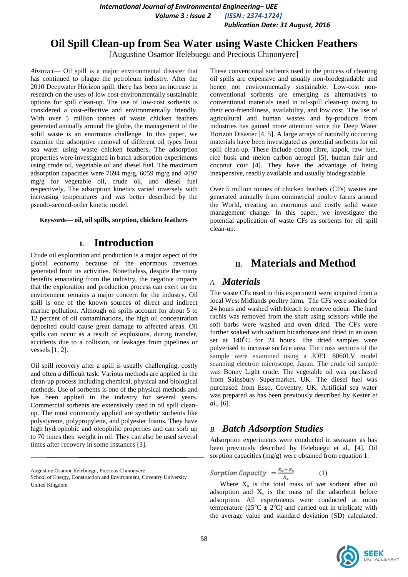*International Journal of Environmental Engineering– IJEE Volume 3 : Issue 2 [ISSN : 2374-1724] Publication Date: 31 August, 2016*

## **Oil Spill Clean-up from Sea Water using Waste Chicken Feathers**

[Augustine Osamor Ifelebuegu and Precious Chinonyere]

*Abstract*— Oil spill is a major environmental disaster that has continued to plague the petroleum industry. After the 2010 Deepwater Horizon spill, there has been an increase in research on the uses of low cost environmentally sustainable options for spill clean-up. The use of low-cost sorbents is considered a cost-effective and environmentally friendly. With over 5 million tonnes of waste chicken feathers generated annually around the globe, the management of the solid waste is an enormous challenge. In this paper, we examine the adsorptive removal of different oil types from sea water using waste chicken feathers. The adsorption properties were investigated in batch adsorption experiments using crude oil, vegetable oil and diesel fuel. The maximum adsorption capacities were 7694 mg/g, 6059 mg/g and 4097 mg/g for vegetable oil, crude oil, and diesel fuel respectively. The adsorption kinetics varied inversely with increasing temperatures and was better described by the pseudo-second-order kinetic model.

**Keywords— oil, oil spills, sorption, chicken feathers**

# **I. Introduction**

Crude oil exploration and production is a major aspect of the global economy because of the enormous revenues generated from its activities. Nonetheless, despite the many benefits emanating from the industry, the negative impacts that the exploration and production process can exert on the environment remains a major concern for the industry. Oil spill is one of the known sources of direct and indirect marine pollution. Although oil spills account for about 5 to 12 percent of oil contaminations, the high oil concentration deposited could cause great damage to affected areas. Oil spills can occur as a result of explosions, during transfer, accidents due to a collision, or leakages from pipelines or vessels [1, 2].

Oil spill recovery after a spill is usually challenging, costly and often a difficult task. Various methods are applied in the clean-up process including chemical, physical and biological methods. Use of sorbents is one of the physical methods and has been applied in the industry for several years. Commercial sorbents are extensively used in oil spill cleanup. The most commonly applied are synthetic sorbents like polystyrene, polypropylene, and polyester foams. They have high hydrophobic and oleophilic properties and can sorb up to 70 times their weight in oil. They can also be used several times after recovery in some instances [3].

Augustine Osamor Ifelebuegu, Precious Chinonyere

These conventional sorbents used in the process of cleaning oil spills are expensive and usually non-biodegradable and hence not environmentally sustainable. Low-cost nonconventional sorbents are emerging as alternatives to conventional materials used in oil-spill clean-up owing to their eco-friendliness, availability, and low cost. The use of agricultural and human wastes and by-products from industries has gained more attention since the Deep Water Horizon Disaster [4, 5]. A large arrays of naturally occurring materials have been investigated as potential sorbents for oil spill clean-up. These include cotton fibre, kapok, raw jute, rice husk and melon carbon aerogel [5], human hair and coconut coir [4]. They have the advantage of being inexpensive, readily available and usually biodegradable.

Over 5 million tonnes of chicken feathers (CFs) wastes are generated annually from commercial poultry farms around the World, creating an enormous and costly solid waste management change. In this paper, we investigate the potential application of waste CFs as sorbents for oil spill clean-up.

# **II. Materials and Method**

## *A. Materials*

The waste CFs used in this experiment were acquired from a local West Midlands poultry farm. The CFs were soaked for 24 hours and washed with bleach to remove odour. The hard rachis was removed from the shaft using scissors while the soft barbs were washed and oven dried. The CFs were further soaked with sodium bicarbonate and dried in an oven set at  $140^{\circ}$ C for 24 hours. The dried samples were pulverised to increase surface area. The cross sections of the sample were examined using a JOEL 6060LV model scanning electron microscope, Japan. The crude oil sample was Bonny Light crude. The vegetable oil was purchased from Sainsbury Supermarket, UK. The diesel fuel was purchased from Esso, Coventry, UK. Artificial sea water was prepared as has been previously described by Kester *et al*., [6].

### *B. Batch Adsorption Studies*

Adsorption experiments were conducted in seawater as has been previously described by Ifelebuegu et al., [4]. Oil sorption capacities ( $mg/g$ ) were obtained from equation 1:

$$
Sorption Capacity = \frac{x_o - x_s}{x_s} \tag{1}
$$

Where  $X_0$  is the total mass of wet sorbent after oil adsorption and  $X_s$  is the mass of the adsorbent before adsorption. All experiments were conducted at room temperature ( $25^{\circ}$ C  $\pm$   $2^{\circ}$ C) and carried out in triplicate with the average value and standard deviation (SD) calculated.



School of Energy, Construction and Environment, Coventry University United Kingdom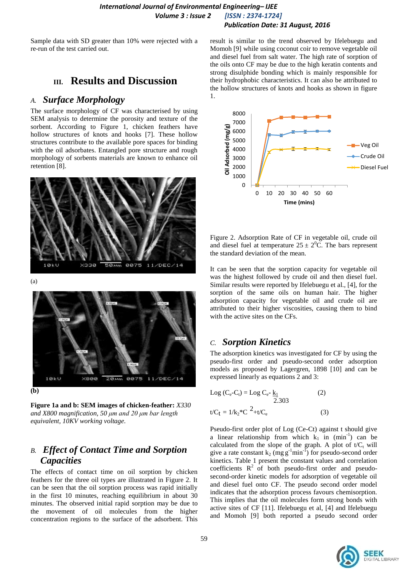*International Journal of Environmental Engineering– IJEE Volume 3 : Issue 2 [ISSN : 2374-1724] Publication Date: 31 August, 2016*

Sample data with SD greater than 10% were rejected with a re-run of the test carried out.

# **III. Results and Discussion**

### *A. Surface Morphology*

The surface morphology of CF was characterised by using SEM analysis to determine the porosity and texture of the sorbent. According to Figure 1, chicken feathers have hollow structures of knots and hooks [7]. These hollow structures contribute to the available pore spaces for binding with the oil adsorbates. Entangled pore structure and rough morphology of sorbents materials are known to enhance oil retention [8].



(a)



**(b)**

**Figure 1a and b: SEM images of chicken-feather:** *X330 and X800 magnification, 50 μm and 20 μm bar length equivalent, 10KV working voltage.*

# *B. Effect of Contact Time and Sorption Capacities*

The effects of contact time on oil sorption by chicken feathers for the three oil types are illustrated in Figure 2. It can be seen that the oil sorption process was rapid initially in the first 10 minutes, reaching equilibrium in about 30 minutes. The observed initial rapid sorption may be due to the movement of oil molecules from the higher concentration regions to the surface of the adsorbent. This

result is similar to the trend observed by Ifelebuegu and Momoh [9] while using coconut coir to remove vegetable oil and diesel fuel from salt water. The high rate of sorption of the oils onto CF may be due to the high keratin contents and strong disulphide bonding which is mainly responsible for their hydrophobic characteristics. It can also be attributed to the hollow structures of knots and hooks as shown in figure 1.



Figure 2. Adsorption Rate of CF in vegetable oil, crude oil and diesel fuel at temperature  $25 \pm 2^{0}C$ . The bars represent the standard deviation of the mean.

It can be seen that the sorption capacity for vegetable oil was the highest followed by crude oil and then diesel fuel. Similar results were reported by Ifelebuegu et al., [4], for the sorption of the same oils on human hair. The higher adsorption capacity for vegetable oil and crude oil are attributed to their higher viscosities, causing them to bind with the active sites on the CFs.

#### *C. Sorption Kinetics*

The adsorption kinetics was investigated for CF by using the pseudo-first order and pseudo-second order adsorption models as proposed by Lagergren, 1898 [10] and can be expressed linearly as equations 2 and 3:

Log (C<sub>e</sub>-C<sub>t</sub>) = Log C<sub>e</sub>-
$$
\frac{k_1}{2.303}
$$
 (2)  
t/C<sub>t</sub> = 1/k<sub>2</sub>\*C<sup>2</sup>+t/C<sub>e</sub> (3)

Pseudo-first order plot of Log (Ce-Ct) against t should give a linear relationship from which  $k_1$  in (min<sup>-1</sup>) can be calculated from the slope of the graph. A plot of  $t/C_t$  will give a rate constant  $k_2$  (mg g<sup>-1</sup>min<sup>-1</sup>) for pseudo-second order kinetics. Table 1 present the constant values and correlation coefficients  $R^2$  of both pseudo-first order and pseudosecond-order kinetic models for adsorption of vegetable oil and diesel fuel onto CF. The pseudo second order model indicates that the adsorption process favours chemisorption. This implies that the oil molecules form strong bonds with active sites of CF [11]. Ifelebuegu et al, [4] and Ifelebuegu and Momoh [9] both reported a pseudo second order

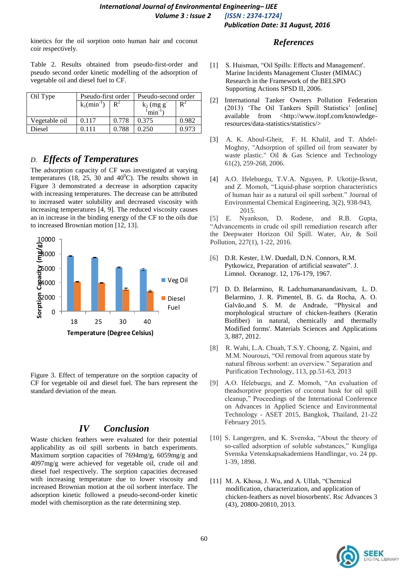#### *International Journal of Environmental Engineering– IJEE Volume 3 : Issue 2 [ISSN : 2374-1724] Publication Date: 31 August, 2016*

kinetics for the oil sorption onto human hair and coconut coir respectively.

Table 2. Results obtained from pseudo-first-order and pseudo second order kinetic modelling of the adsorption of vegetable oil and diesel fuel to CF.

| Oil Type      | Pseudo-first order         |       | Pseudo-second order                    |                |
|---------------|----------------------------|-------|----------------------------------------|----------------|
|               | $k_1$ (min <sup>-1</sup> ) | $R^2$ | $k_2$ (mg g <sup>-</sup><br>$min^{-1}$ | $\mathbf{R}^2$ |
| Vegetable oil | 0.117                      | 0.778 | 0.375                                  | 0.982          |
| Diesel        |                            | 0.788 | 0.250                                  | በ 973          |

# *D. Effects of Temperatures*

The adsorption capacity of CF was investigated at varying temperatures (18, 25, 30 and  $40^{\circ}$ C). The results shown in Figure 3 demonstrated a decrease in adsorption capacity with increasing temperatures. The decrease can be attributed to increased water solubility and decreased viscosity with increasing temperatures [4, 9]. The reduced viscosity causes an in increase in the binding energy of the CF to the oils due to increased Brownian motion [12, 13].



Figure 3. Effect of temperature on the sorption capacity of CF for vegetable oil and diesel fuel. The bars represent the standard deviation of the mean.

# *IV Conclusion*

Waste chicken feathers were evaluated for their potential applicability as oil spill sorbents in batch experiments. Maximum sorption capacities of 7694mg/g, 6059mg/g and 4097mg/g were achieved for vegetable oil, crude oil and diesel fuel respectively. The sorption capacities decreased with increasing temperature due to lower viscosity and increased Brownian motion at the oil sorbent interface. The adsorption kinetic followed a pseudo-second-order kinetic model with chemisorption as the rate determining step.

#### *References*

- [1] S. Huisman, "Oil Spills: Effects and Management'. Marine Incidents Management Cluster (MIMAC) Research in the Framework of the BELSPO Supporting Actions SPSD II, 2006.
- [2] International Tanker Owners Pollution Federation (2013) "The Oil Tankers Spill Statistics" [online] available from <http://www.itopf.com/knowledgeresources/data-statistics/statistics/>
- [3] A. K. Aboul-Gheit, F. H. Khalil, and T. Abdel-Moghny, "Adsorption of spilled oil from seawater by waste plastic." Oil & Gas Science and Technology 61(2), 259-268, 2006.
- [4] A.O. Ifelebuegu, T.V.A. Nguyen, P. Ukotije-Ikwut, and Z. Momoh, "Liquid-phase sorption characteristics of human hair as a natural oil spill sorbent." Journal of Environmental Chemical Engineering, 3(2), 938-943, 2015.

[5] E. Nyankson, D. Rodene, and R.B. Gupta, "Advancements in crude oil spill remediation research after the Deepwater Horizon Oil Spill. Water, Air, & Soil Pollution, 227(1), 1-22, 2016.

- [6] D.R. Kester, I.W. Duedall, D.N. Connors, R.M. Pytkowicz, Preparation of artificial seawater". J. Limnol. Oceanogr. 12, 176-179, 1967.
- [7] D. D. Belarmino, R. Ladchumananandasivam, L. D. Belarmino, J. R. Pimentel, B. G. da Rocha, A. O. Galvão,and S. M. de Andrade, "Physical and morphological structure of chicken-feathers (Keratin Biofiber) in natural, chemically and thermally Modified forms'. Materials Sciences and Applications 3, 887, 2012.
- [8] R. Wahi, L.A. Chuah, T.S.Y. Choong, Z. Ngaini, and M.M. Nourouzi, "Oil removal from aqueous state by natural fibrous sorbent: an overview." Separation and Purification Technology, 113, pp.51-63, 2013
- [9] A.O. Ifelebuegu, and Z. Momoh, "An evaluation of theadsorptive properties of coconut husk for oil spill cleanup," Proceedings of the International Conference on Advances in Applied Science and Environmental Technology - ASET 2015, Bangkok, Thailand, 21-22 February 2015.
- [10] S. Langergren, and K. Svenska, "About the theory of so-called adsorption of soluble substances," Kungliga Svenska Vetenskapsakademiens Handlingar, vo. 24 pp. 1-39, 1898.
- [11] M. A. Khosa, J. Wu, and A. Ullah, "Chemical modification, characterization, and application of chicken-feathers as novel biosorbents'. Rsc Advances 3 (43), 20800-20810, 2013.